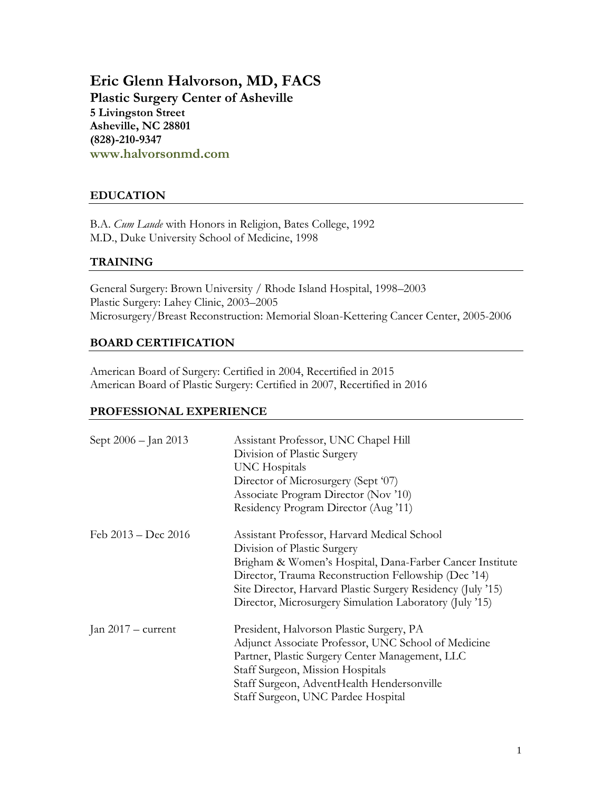**Eric Glenn Halvorson, MD, FACS Plastic Surgery Center of Asheville 5 Livingston Street Asheville, NC 28801 (828)-210-9347 www.halvorsonmd.com**

## **EDUCATION**

B.A. *Cum Laude* with Honors in Religion, Bates College, 1992 M.D., Duke University School of Medicine, 1998

## **TRAINING**

General Surgery: Brown University / Rhode Island Hospital, 1998–2003 Plastic Surgery: Lahey Clinic, 2003–2005 Microsurgery/Breast Reconstruction: Memorial Sloan-Kettering Cancer Center, 2005-2006

### **BOARD CERTIFICATION**

American Board of Surgery: Certified in 2004, Recertified in 2015 American Board of Plastic Surgery: Certified in 2007, Recertified in 2016

#### **PROFESSIONAL EXPERIENCE**

| Sept 2006 - Jan 2013  | Assistant Professor, UNC Chapel Hill<br>Division of Plastic Surgery<br>UNC Hospitals<br>Director of Microsurgery (Sept '07)<br>Associate Program Director (Nov '10)<br>Residency Program Director (Aug '11)                                                                                                              |  |
|-----------------------|--------------------------------------------------------------------------------------------------------------------------------------------------------------------------------------------------------------------------------------------------------------------------------------------------------------------------|--|
| Feb $2013 - Dec 2016$ | Assistant Professor, Harvard Medical School<br>Division of Plastic Surgery<br>Brigham & Women's Hospital, Dana-Farber Cancer Institute<br>Director, Trauma Reconstruction Fellowship (Dec '14)<br>Site Director, Harvard Plastic Surgery Residency (July '15)<br>Director, Microsurgery Simulation Laboratory (July '15) |  |
| Jan $2017$ – current  | President, Halvorson Plastic Surgery, PA<br>Adjunct Associate Professor, UNC School of Medicine<br>Partner, Plastic Surgery Center Management, LLC<br>Staff Surgeon, Mission Hospitals<br>Staff Surgeon, AdventHealth Hendersonville<br>Staff Surgeon, UNC Pardee Hospital                                               |  |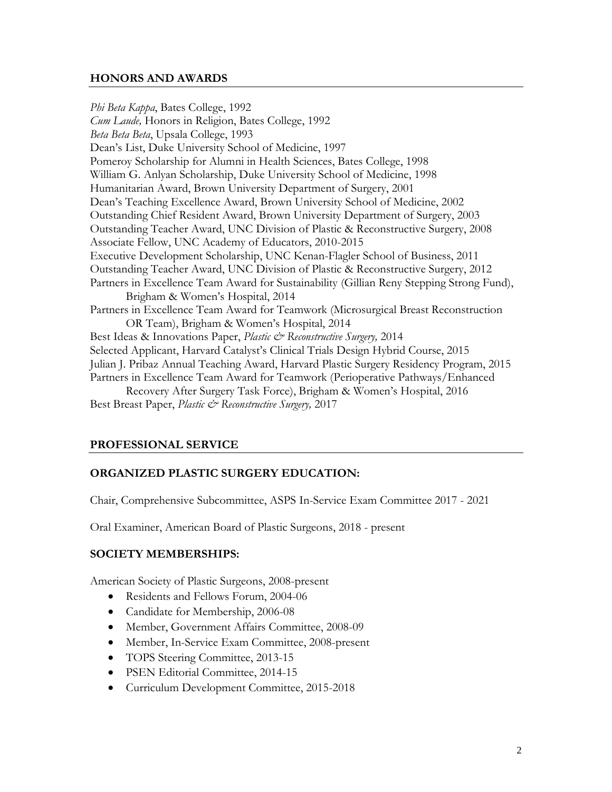#### **HONORS AND AWARDS**

*Phi Beta Kappa*, Bates College, 1992 *Cum Laude,* Honors in Religion, Bates College, 1992 *Beta Beta Beta*, Upsala College, 1993 Dean's List, Duke University School of Medicine, 1997 Pomeroy Scholarship for Alumni in Health Sciences, Bates College, 1998 William G. Anlyan Scholarship, Duke University School of Medicine, 1998 Humanitarian Award, Brown University Department of Surgery, 2001 Dean's Teaching Excellence Award, Brown University School of Medicine, 2002 Outstanding Chief Resident Award, Brown University Department of Surgery, 2003 Outstanding Teacher Award, UNC Division of Plastic & Reconstructive Surgery, 2008 Associate Fellow, UNC Academy of Educators, 2010-2015 Executive Development Scholarship, UNC Kenan-Flagler School of Business, 2011 Outstanding Teacher Award, UNC Division of Plastic & Reconstructive Surgery, 2012 Partners in Excellence Team Award for Sustainability (Gillian Reny Stepping Strong Fund), Brigham & Women's Hospital, 2014 Partners in Excellence Team Award for Teamwork (Microsurgical Breast Reconstruction OR Team), Brigham & Women's Hospital, 2014 Best Ideas & Innovations Paper, *Plastic & Reconstructive Surgery*, 2014 Selected Applicant, Harvard Catalyst's Clinical Trials Design Hybrid Course, 2015 Julian J. Pribaz Annual Teaching Award, Harvard Plastic Surgery Residency Program, 2015 Partners in Excellence Team Award for Teamwork (Perioperative Pathways/Enhanced Recovery After Surgery Task Force), Brigham & Women's Hospital, 2016 Best Breast Paper, *Plastic & Reconstructive Surgery,* 2017

## **PROFESSIONAL SERVICE**

## **ORGANIZED PLASTIC SURGERY EDUCATION:**

Chair, Comprehensive Subcommittee, ASPS In-Service Exam Committee 2017 - 2021

Oral Examiner, American Board of Plastic Surgeons, 2018 - present

## **SOCIETY MEMBERSHIPS:**

American Society of Plastic Surgeons, 2008-present

- Residents and Fellows Forum, 2004-06
- Candidate for Membership, 2006-08
- Member, Government Affairs Committee, 2008-09
- Member, In-Service Exam Committee, 2008-present
- TOPS Steering Committee, 2013-15
- PSEN Editorial Committee, 2014-15
- Curriculum Development Committee, 2015-2018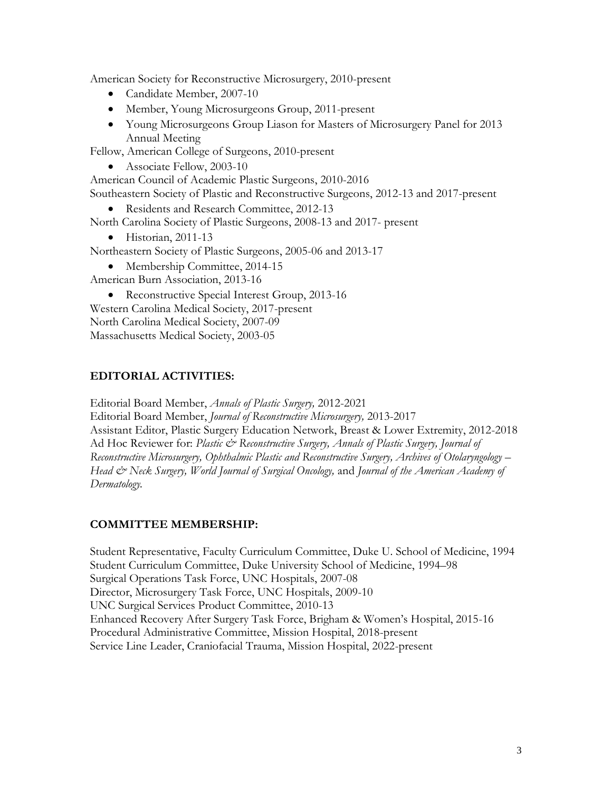American Society for Reconstructive Microsurgery, 2010-present

- Candidate Member, 2007-10
- Member, Young Microsurgeons Group, 2011-present
- Young Microsurgeons Group Liason for Masters of Microsurgery Panel for 2013 Annual Meeting

Fellow, American College of Surgeons, 2010-present

• Associate Fellow, 2003-10

American Council of Academic Plastic Surgeons, 2010-2016

Southeastern Society of Plastic and Reconstructive Surgeons, 2012-13 and 2017-present

• Residents and Research Committee, 2012-13

North Carolina Society of Plastic Surgeons, 2008-13 and 2017- present

• Historian, 2011-13

Northeastern Society of Plastic Surgeons, 2005-06 and 2013-17

• Membership Committee, 2014-15

American Burn Association, 2013-16

• Reconstructive Special Interest Group, 2013-16 Western Carolina Medical Society, 2017-present North Carolina Medical Society, 2007-09 Massachusetts Medical Society, 2003-05

## **EDITORIAL ACTIVITIES:**

Editorial Board Member, *Annals of Plastic Surgery,* 2012-2021 Editorial Board Member, *Journal of Reconstructive Microsurgery,* 2013-2017

Assistant Editor, Plastic Surgery Education Network, Breast & Lower Extremity, 2012-2018 Ad Hoc Reviewer for: *Plastic & Reconstructive Surgery, Annals of Plastic Surgery, Journal of Reconstructive Microsurgery, Ophthalmic Plastic and Reconstructive Surgery, Archives of Otolaryngology – Head & Neck Surgery, World Journal of Surgical Oncology,* and *Journal of the American Academy of Dermatology.*

## **COMMITTEE MEMBERSHIP:**

Student Representative, Faculty Curriculum Committee, Duke U. School of Medicine, 1994 Student Curriculum Committee, Duke University School of Medicine, 1994–98 Surgical Operations Task Force, UNC Hospitals, 2007-08 Director, Microsurgery Task Force, UNC Hospitals, 2009-10 UNC Surgical Services Product Committee, 2010-13 Enhanced Recovery After Surgery Task Force, Brigham & Women's Hospital, 2015-16 Procedural Administrative Committee, Mission Hospital, 2018-present Service Line Leader, Craniofacial Trauma, Mission Hospital, 2022-present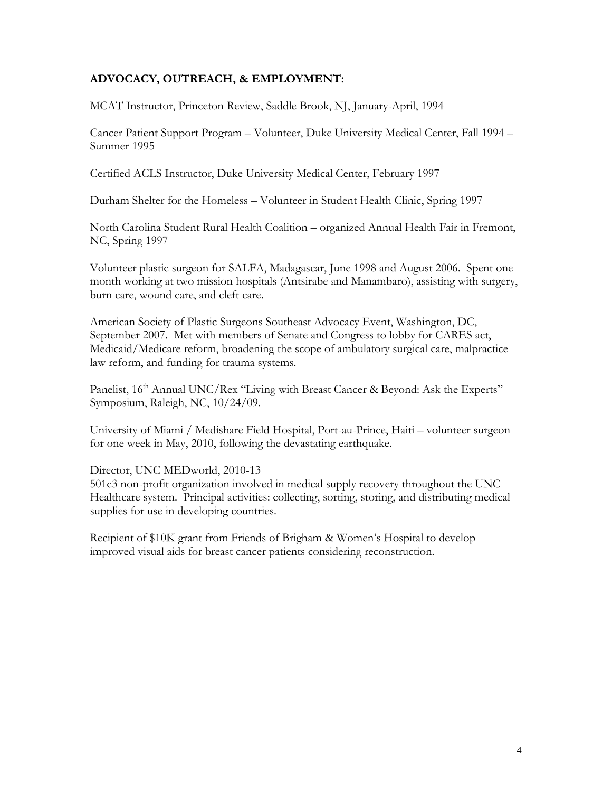## **ADVOCACY, OUTREACH, & EMPLOYMENT:**

MCAT Instructor, Princeton Review, Saddle Brook, NJ, January-April, 1994

Cancer Patient Support Program – Volunteer, Duke University Medical Center, Fall 1994 – Summer 1995

Certified ACLS Instructor, Duke University Medical Center, February 1997

Durham Shelter for the Homeless – Volunteer in Student Health Clinic, Spring 1997

North Carolina Student Rural Health Coalition – organized Annual Health Fair in Fremont, NC, Spring 1997

Volunteer plastic surgeon for SALFA, Madagascar, June 1998 and August 2006. Spent one month working at two mission hospitals (Antsirabe and Manambaro), assisting with surgery, burn care, wound care, and cleft care.

American Society of Plastic Surgeons Southeast Advocacy Event, Washington, DC, September 2007. Met with members of Senate and Congress to lobby for CARES act, Medicaid/Medicare reform, broadening the scope of ambulatory surgical care, malpractice law reform, and funding for trauma systems.

Panelist, 16<sup>th</sup> Annual UNC/Rex "Living with Breast Cancer & Beyond: Ask the Experts" Symposium, Raleigh, NC, 10/24/09.

University of Miami / Medishare Field Hospital, Port-au-Prince, Haiti – volunteer surgeon for one week in May, 2010, following the devastating earthquake.

Director, UNC MEDworld, 2010-13

501c3 non-profit organization involved in medical supply recovery throughout the UNC Healthcare system. Principal activities: collecting, sorting, storing, and distributing medical supplies for use in developing countries.

Recipient of \$10K grant from Friends of Brigham & Women's Hospital to develop improved visual aids for breast cancer patients considering reconstruction.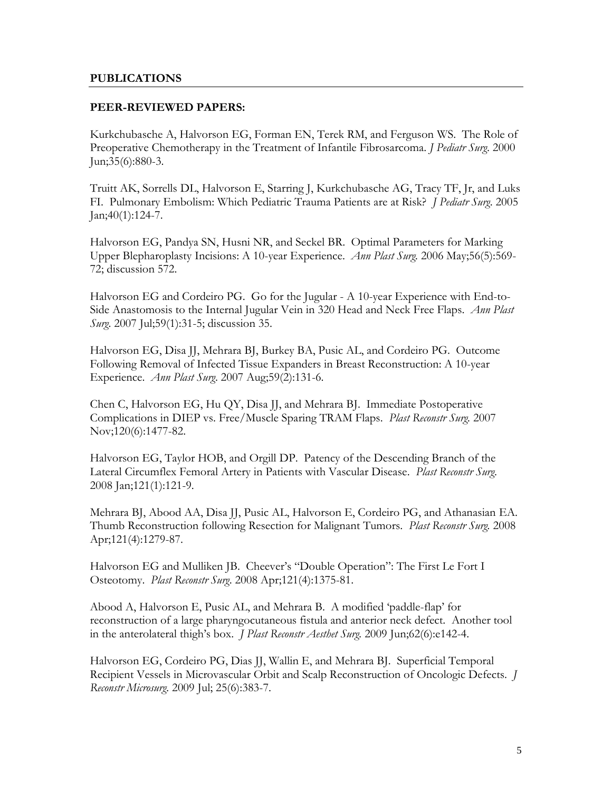#### **PUBLICATIONS**

#### **PEER-REVIEWED PAPERS:**

Kurkchubasche A, Halvorson EG, Forman EN, Terek RM, and Ferguson WS. The Role of Preoperative Chemotherapy in the Treatment of Infantile Fibrosarcoma. *J Pediatr Surg*. 2000 Jun;35(6):880-3.

Truitt AK, Sorrells DL, Halvorson E, Starring J, Kurkchubasche AG, Tracy TF, Jr, and Luks FI. Pulmonary Embolism: Which Pediatric Trauma Patients are at Risk? *J Pediatr Surg*. 2005 Jan;40(1):124-7.

Halvorson EG, Pandya SN, Husni NR, and Seckel BR. Optimal Parameters for Marking Upper Blepharoplasty Incisions: A 10-year Experience. *Ann Plast Surg.* 2006 May;56(5):569- 72; discussion 572.

Halvorson EG and Cordeiro PG. Go for the Jugular - A 10-year Experience with End-to-Side Anastomosis to the Internal Jugular Vein in 320 Head and Neck Free Flaps. *Ann Plast Surg*. 2007 Jul;59(1):31-5; discussion 35.

Halvorson EG, Disa JJ, Mehrara BJ, Burkey BA, Pusic AL, and Cordeiro PG. Outcome Following Removal of Infected Tissue Expanders in Breast Reconstruction: A 10-year Experience. *Ann Plast Surg*. 2007 Aug;59(2):131-6.

Chen C, Halvorson EG, Hu QY, Disa JJ, and Mehrara BJ. Immediate Postoperative Complications in DIEP vs. Free/Muscle Sparing TRAM Flaps. *Plast Reconstr Surg.* 2007 Nov;120(6):1477-82.

Halvorson EG, Taylor HOB, and Orgill DP. Patency of the Descending Branch of the Lateral Circumflex Femoral Artery in Patients with Vascular Disease. *Plast Reconstr Surg*. 2008 Jan;121(1):121-9.

Mehrara BJ, Abood AA, Disa JJ, Pusic AL, Halvorson E, Cordeiro PG, and Athanasian EA. Thumb Reconstruction following Resection for Malignant Tumors. *Plast Reconstr Surg.* 2008 Apr;121(4):1279-87.

Halvorson EG and Mulliken JB. Cheever's "Double Operation": The First Le Fort I Osteotomy. *Plast Reconstr Surg*. 2008 Apr;121(4):1375-81.

Abood A, Halvorson E, Pusic AL, and Mehrara B. A modified 'paddle-flap' for reconstruction of a large pharyngocutaneous fistula and anterior neck defect. Another tool in the anterolateral thigh's box. *J Plast Reconstr Aesthet Surg.* 2009 Jun;62(6):e142-4.

Halvorson EG, Cordeiro PG, Dias JJ, Wallin E, and Mehrara BJ. Superficial Temporal Recipient Vessels in Microvascular Orbit and Scalp Reconstruction of Oncologic Defects. *J Reconstr Microsurg.* 2009 Jul; 25(6):383-7.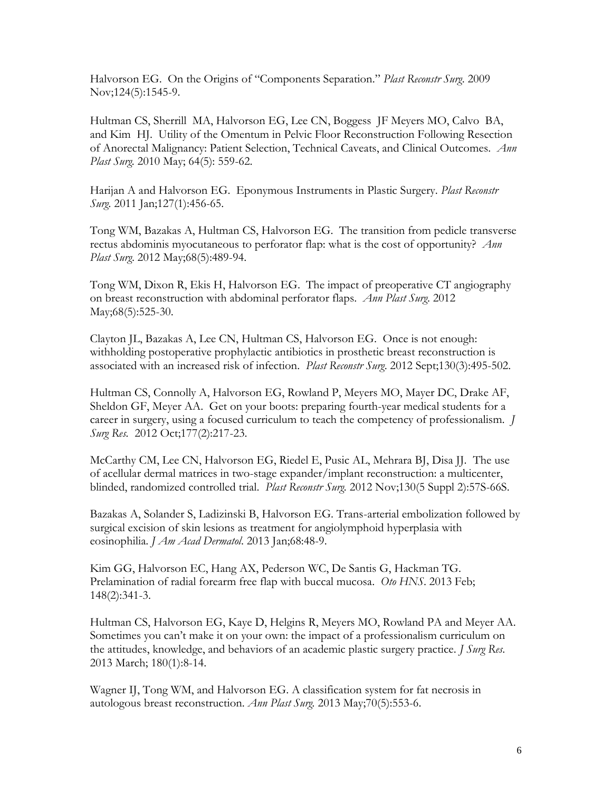Halvorson EG. On the Origins of "Components Separation." *Plast Reconstr Surg*. 2009 Nov;124(5):1545-9.

Hultman CS, Sherrill MA, Halvorson EG, Lee CN, Boggess JF Meyers MO, Calvo BA, and Kim HJ. Utility of the Omentum in Pelvic Floor Reconstruction Following Resection of Anorectal Malignancy: Patient Selection, Technical Caveats, and Clinical Outcomes. *Ann Plast Surg.* 2010 May; 64(5): 559-62.

Harijan A and Halvorson EG. Eponymous Instruments in Plastic Surgery. *Plast Reconstr Surg.* 2011 Jan;127(1):456-65.

Tong WM, Bazakas A, Hultman CS, Halvorson EG. The transition from pedicle transverse rectus abdominis myocutaneous to perforator flap: what is the cost of opportunity? *Ann Plast Surg*. 2012 May;68(5):489-94.

Tong WM, Dixon R, Ekis H, Halvorson EG. The impact of preoperative CT angiography on breast reconstruction with abdominal perforator flaps. *Ann Plast Surg*. 2012 May; 68(5): 525-30.

Clayton JL, Bazakas A, Lee CN, Hultman CS, Halvorson EG. Once is not enough: withholding postoperative prophylactic antibiotics in prosthetic breast reconstruction is associated with an increased risk of infection. *Plast Reconstr Surg*. 2012 Sept;130(3):495-502.

Hultman CS, Connolly A, Halvorson EG, Rowland P, Meyers MO, Mayer DC, Drake AF, Sheldon GF, Meyer AA. Get on your boots: preparing fourth-year medical students for a career in surgery, using a focused curriculum to teach the competency of professionalism*. J Surg Res.* 2012 Oct;177(2):217-23.

McCarthy CM, Lee CN, Halvorson EG, Riedel E, Pusic AL, Mehrara BJ, Disa JJ. The use of acellular dermal matrices in two-stage expander/implant reconstruction: a multicenter, blinded, randomized controlled trial. *Plast Reconstr Surg.* 2012 Nov;130(5 Suppl 2):57S-66S.

Bazakas A, Solander S, Ladizinski B, Halvorson EG. Trans-arterial embolization followed by surgical excision of skin lesions as treatment for angiolymphoid hyperplasia with eosinophilia. *J Am Acad Dermatol*. 2013 Jan;68:48-9.

Kim GG, Halvorson EC, Hang AX, Pederson WC, De Santis G, Hackman TG. Prelamination of radial forearm free flap with buccal mucosa. *Oto HNS*. 2013 Feb; 148(2):341-3.

Hultman CS, Halvorson EG, Kaye D, Helgins R, Meyers MO, Rowland PA and Meyer AA. Sometimes you can't make it on your own: the impact of a professionalism curriculum on the attitudes, knowledge, and behaviors of an academic plastic surgery practice. *J Surg Res*. 2013 March; 180(1):8-14.

Wagner IJ, Tong WM, and Halvorson EG. A classification system for fat necrosis in autologous breast reconstruction. *Ann Plast Surg.* 2013 May;70(5):553-6.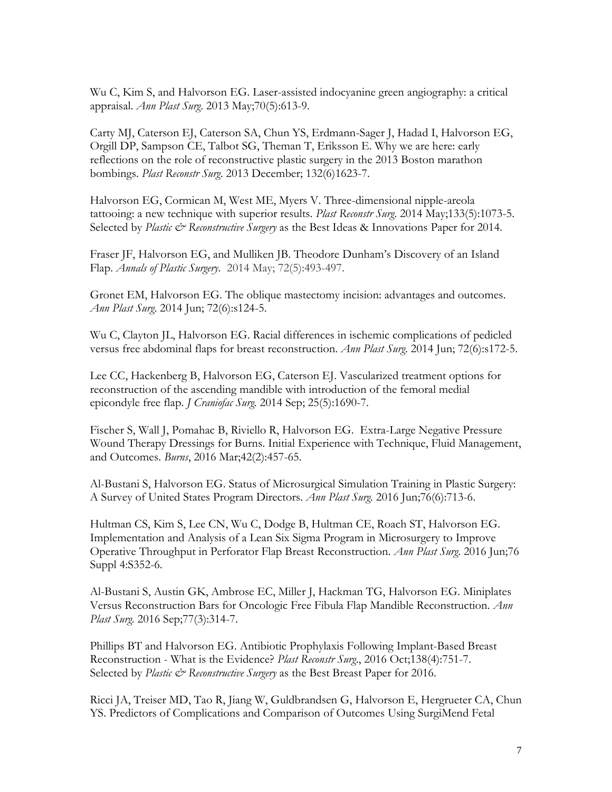Wu C, Kim S, and Halvorson EG. Laser-assisted indocyanine green angiography: a critical appraisal. *Ann Plast Surg*. 2013 May;70(5):613-9.

Carty MJ, Caterson EJ, Caterson SA, Chun YS, Erdmann-Sager J, Hadad I, Halvorson EG, Orgill DP, Sampson CE, Talbot SG, Theman T, Eriksson E. Why we are here: early reflections on the role of reconstructive plastic surgery in the 2013 Boston marathon bombings. *Plast Reconstr Surg*. 2013 December; 132(6)1623-7.

Halvorson EG, Cormican M, West ME, Myers V. Three-dimensional nipple-areola tattooing: a new technique with superior results. *Plast Reconstr Surg*. 2014 May;133(5):1073-5. Selected by *Plastic & Reconstructive Surgery* as the Best Ideas & Innovations Paper for 2014.

Fraser JF, Halvorson EG, and Mulliken JB. Theodore Dunham's Discovery of an Island Flap. *Annals of Plastic Surgery*. 2014 May; 72(5):493-497.

Gronet EM, Halvorson EG. The oblique mastectomy incision: advantages and outcomes. *Ann Plast Surg*. 2014 Jun; 72(6):s124-5.

Wu C, Clayton JL, Halvorson EG. Racial differences in ischemic complications of pedicled versus free abdominal flaps for breast reconstruction. *Ann Plast Surg*. 2014 Jun; 72(6):s172-5.

Lee CC, Hackenberg B, Halvorson EG, Caterson EJ. Vascularized treatment options for reconstruction of the ascending mandible with introduction of the femoral medial epicondyle free flap. *J Craniofac Surg.* 2014 Sep; 25(5):1690-7.

Fischer S, Wall J, Pomahac B, Riviello R, Halvorson EG. Extra-Large Negative Pressure Wound Therapy Dressings for Burns. Initial Experience with Technique, Fluid Management, and Outcomes. *Burns*, 2016 Mar;42(2):457-65.

Al-Bustani S, Halvorson EG. [Status of Microsurgical Simulation Training in Plastic Surgery:](https://www.ncbi.nlm.nih.gov/pubmed/26418797)  [A Survey of United States Program Directors.](https://www.ncbi.nlm.nih.gov/pubmed/26418797) *Ann Plast Surg.* 2016 Jun;76(6):713-6.

Hultman CS, Kim S, Lee CN, Wu C, Dodge B, Hultman CE, Roach ST, Halvorson EG. Implementation and Analysis of a Lean Six Sigma Program in Microsurgery to Improve Operative Throughput in Perforator Flap Breast Reconstruction. *Ann Plast Surg*. 2016 Jun;76 Suppl 4:S352-6.

Al-Bustani S, Austin GK, Ambrose EC, Miller J, Hackman TG, Halvorson EG. [Miniplates](https://www.ncbi.nlm.nih.gov/pubmed/27518036)  [Versus Reconstruction Bars for Oncologic Free Fibula Flap Mandible Reconstruction.](https://www.ncbi.nlm.nih.gov/pubmed/27518036) *Ann Plast Surg.* 2016 Sep;77(3):314-7.

Phillips BT and Halvorson EG. Antibiotic Prophylaxis Following Implant-Based Breast Reconstruction - What is the Evidence? *Plast Reconstr Surg*., 2016 Oct;138(4):751-7. Selected by *Plastic & Reconstructive Surgery* as the Best Breast Paper for 2016.

Ricci JA, Treiser MD, Tao R, Jiang W, Guldbrandsen G, Halvorson E, Hergrueter CA, Chun YS. [Predictors of Complications and Comparison of Outcomes Using SurgiMend Fetal](https://www.ncbi.nlm.nih.gov/pubmed/27673529)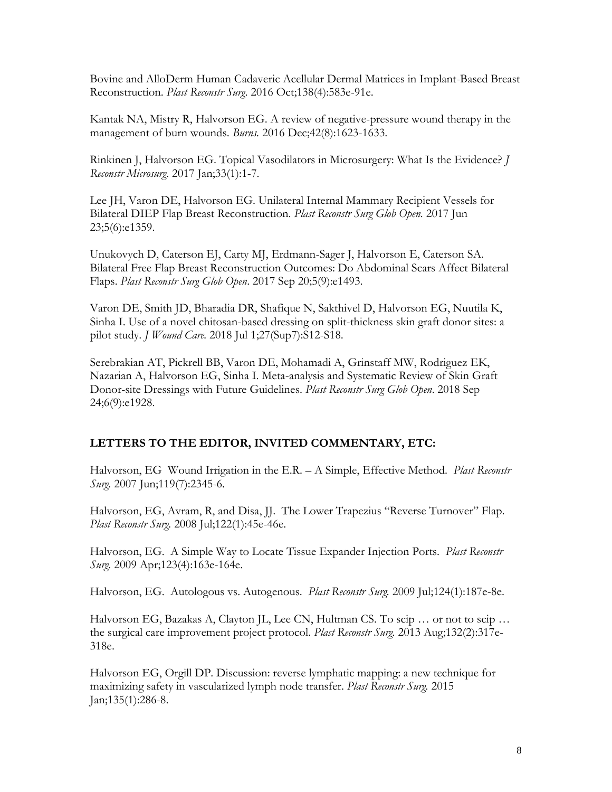[Bovine and AlloDerm Human Cadaveric Acellular Dermal Matrices in Implant-Based Breast](https://www.ncbi.nlm.nih.gov/pubmed/27673529)  [Reconstruction.](https://www.ncbi.nlm.nih.gov/pubmed/27673529) *Plast Reconstr Surg*. 2016 Oct;138(4):583e-91e.

Kantak NA, Mistry R, Halvorson EG. [A review of negative-pressure wound therapy in the](https://www.ncbi.nlm.nih.gov/pubmed/27378361)  [management of burn wounds.](https://www.ncbi.nlm.nih.gov/pubmed/27378361) *Burns.* 2016 Dec;42(8):1623-1633.

Rinkinen J, Halvorson EG. [Topical Vasodilators in Microsurgery: What Is the Evidence?](https://www.ncbi.nlm.nih.gov/pubmed/27636540) *J Reconstr Microsurg*. 2017 Jan;33(1):1-7.

Lee JH, Varon DE, Halvorson EG. [Unilateral Internal Mammary Recipient Vessels for](https://www.ncbi.nlm.nih.gov/pubmed/28740774)  [Bilateral DIEP Flap Breast Reconstruction.](https://www.ncbi.nlm.nih.gov/pubmed/28740774) *Plast Reconstr Surg Glob Open.* 2017 Jun 23;5(6):e1359.

Unukovych D, Caterson EJ, Carty MJ, Erdmann-Sager J, Halvorson E, Caterson SA. Bilateral Free Flap Breast Reconstruction Outcomes: Do Abdominal Scars Affect Bilateral Flaps. *Plast Reconstr Surg Glob Open*. 2017 Sep 20;5(9):e1493.

Varon DE, Smith JD, Bharadia DR, Shafique N, Sakthivel D, Halvorson EG, Nuutila K, Sinha I. [Use of a novel chitosan-based dressing on split-thickness skin graft donor sites: a](https://www.ncbi.nlm.nih.gov/pubmed/30008255)  [pilot study.](https://www.ncbi.nlm.nih.gov/pubmed/30008255) *J Wound Care.* 2018 Jul 1;27(Sup7):S12-S18.

Serebrakian AT, Pickrell BB, Varon DE, Mohamadi A, Grinstaff MW, Rodriguez EK, Nazarian A, Halvorson EG, Sinha I. Meta-analysis and Systematic Review of Skin Graft Donor-site Dressings with Future Guidelines. *Plast Reconstr Surg Glob Open*. 2018 Sep 24;6(9):e1928.

# **LETTERS TO THE EDITOR, INVITED COMMENTARY, ETC:**

Halvorson, EG Wound Irrigation in the E.R. – A Simple, Effective Method. *Plast Reconstr Surg.* 2007 Jun;119(7):2345-6.

Halvorson, EG, Avram, R, and Disa, JJ. The Lower Trapezius "Reverse Turnover" Flap. *Plast Reconstr Surg.* 2008 Jul;122(1):45e-46e.

Halvorson, EG. A Simple Way to Locate Tissue Expander Injection Ports. *Plast Reconstr Surg.* 2009 Apr;123(4):163e-164e.

Halvorson, EG. Autologous vs. Autogenous. *Plast Reconstr Surg.* 2009 Jul;124(1):187e-8e.

Halvorson EG, Bazakas A, Clayton JL, Lee CN, Hultman CS. [To scip … or not to scip …](https://www.ncbi.nlm.nih.gov/pubmed/23897365)  [the surgical care improvement project protocol.](https://www.ncbi.nlm.nih.gov/pubmed/23897365) *Plast Reconstr Surg.* 2013 Aug;132(2):317e-318e.

Halvorson EG, Orgill DP. [Discussion: reverse lymphatic mapping: a new technique for](https://www.ncbi.nlm.nih.gov/pubmed/25539312)  [maximizing safety in vascularized lymph node transfer.](https://www.ncbi.nlm.nih.gov/pubmed/25539312) *Plast Reconstr Surg.* 2015 Jan;135(1):286-8.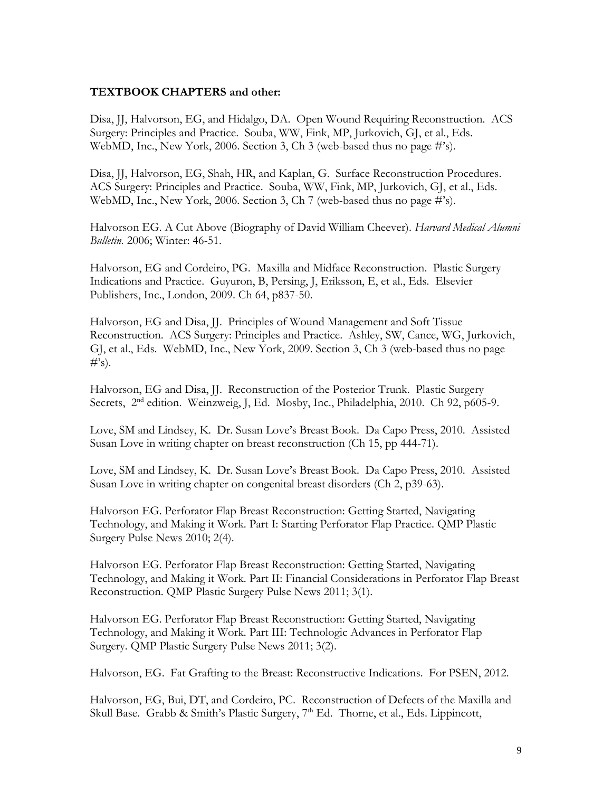### **TEXTBOOK CHAPTERS and other:**

Disa, JJ, Halvorson, EG, and Hidalgo, DA. Open Wound Requiring Reconstruction. ACS Surgery: Principles and Practice. Souba, WW, Fink, MP, Jurkovich, GJ, et al., Eds. WebMD, Inc., New York, 2006. Section 3, Ch 3 (web-based thus no page #'s).

Disa, JJ, Halvorson, EG, Shah, HR, and Kaplan, G. Surface Reconstruction Procedures. ACS Surgery: Principles and Practice. Souba, WW, Fink, MP, Jurkovich, GJ, et al., Eds. WebMD, Inc., New York, 2006. Section 3, Ch 7 (web-based thus no page #'s).

Halvorson EG. A Cut Above (Biography of David William Cheever). *Harvard Medical Alumni Bulletin.* 2006; Winter: 46-51.

Halvorson, EG and Cordeiro, PG. Maxilla and Midface Reconstruction. Plastic Surgery Indications and Practice. Guyuron, B, Persing, J, Eriksson, E, et al., Eds. Elsevier Publishers, Inc., London, 2009. Ch 64, p837-50.

Halvorson, EG and Disa, JJ. Principles of Wound Management and Soft Tissue Reconstruction. ACS Surgery: Principles and Practice. Ashley, SW, Cance, WG, Jurkovich, GJ, et al., Eds. WebMD, Inc., New York, 2009. Section 3, Ch 3 (web-based thus no page  $#^{\prime}$ s).

Halvorson, EG and Disa, JJ. Reconstruction of the Posterior Trunk. Plastic Surgery Secrets, 2<sup>nd</sup> edition. Weinzweig, J, Ed. Mosby, Inc., Philadelphia, 2010. Ch 92, p605-9.

Love, SM and Lindsey, K. Dr. Susan Love's Breast Book. Da Capo Press, 2010. Assisted Susan Love in writing chapter on breast reconstruction (Ch 15, pp 444-71).

Love, SM and Lindsey, K. Dr. Susan Love's Breast Book. Da Capo Press, 2010. Assisted Susan Love in writing chapter on congenital breast disorders (Ch 2, p39-63).

Halvorson EG. Perforator Flap Breast Reconstruction: Getting Started, Navigating Technology, and Making it Work. Part I: Starting Perforator Flap Practice. QMP Plastic Surgery Pulse News 2010; 2(4).

Halvorson EG. Perforator Flap Breast Reconstruction: Getting Started, Navigating Technology, and Making it Work. Part II: Financial Considerations in Perforator Flap Breast Reconstruction. QMP Plastic Surgery Pulse News 2011; 3(1).

Halvorson EG. Perforator Flap Breast Reconstruction: Getting Started, Navigating Technology, and Making it Work. Part III: Technologic Advances in Perforator Flap Surgery. QMP Plastic Surgery Pulse News 2011; 3(2).

Halvorson, EG. Fat Grafting to the Breast: Reconstructive Indications. For PSEN, 2012.

Halvorson, EG, Bui, DT, and Cordeiro, PC. Reconstruction of Defects of the Maxilla and Skull Base. Grabb & Smith's Plastic Surgery, 7<sup>th</sup> Ed. Thorne, et al., Eds. Lippincott,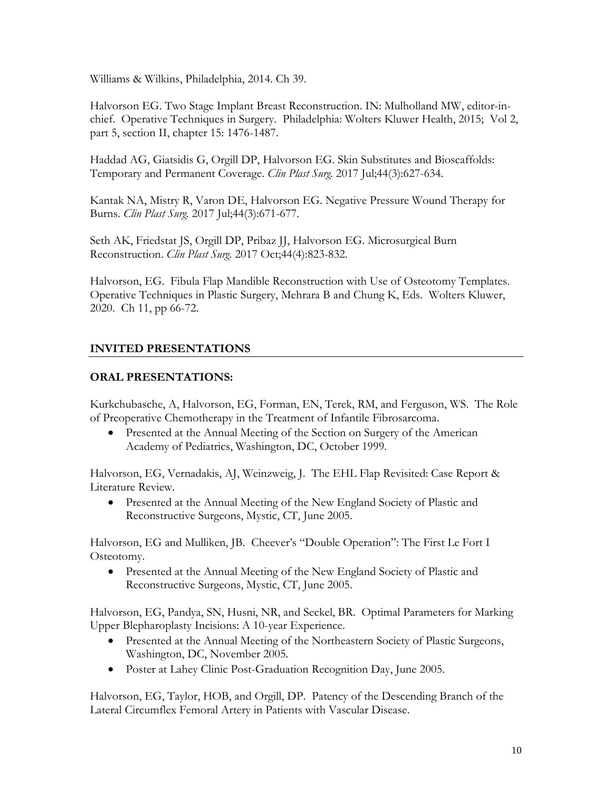Williams & Wilkins, Philadelphia, 2014. Ch 39.

Halvorson EG. Two Stage Implant Breast Reconstruction. IN: Mulholland MW, editor-inchief. Operative Techniques in Surgery. Philadelphia: Wolters Kluwer Health, 2015; Vol 2, part 5, section II, chapter 15: 1476-1487.

Haddad AG, Giatsidis G, Orgill DP, Halvorson EG. [Skin Substitutes and Bioscaffolds:](https://www.ncbi.nlm.nih.gov/pubmed/28576252)  [Temporary and Permanent Coverage.](https://www.ncbi.nlm.nih.gov/pubmed/28576252) *Clin Plast Surg.* 2017 Jul;44(3):627-634.

Kantak NA, Mistry R, Varon DE, Halvorson EG. [Negative Pressure Wound Therapy for](https://www.ncbi.nlm.nih.gov/pubmed/28576256)  [Burns.](https://www.ncbi.nlm.nih.gov/pubmed/28576256) *Clin Plast Surg.* 2017 Jul;44(3):671-677.

Seth AK, Friedstat JS, Orgill DP, Pribaz JJ, Halvorson EG. [Microsurgical Burn](https://www.ncbi.nlm.nih.gov/pubmed/28888307)  [Reconstruction.](https://www.ncbi.nlm.nih.gov/pubmed/28888307) *Clin Plast Surg.* 2017 Oct;44(4):823-832.

Halvorson, EG. Fibula Flap Mandible Reconstruction with Use of Osteotomy Templates. Operative Techniques in Plastic Surgery, Mehrara B and Chung K, Eds. Wolters Kluwer, 2020. Ch 11, pp 66-72.

# **INVITED PRESENTATIONS**

# **ORAL PRESENTATIONS:**

Kurkchubasche, A, Halvorson, EG, Forman, EN, Terek, RM, and Ferguson, WS. The Role of Preoperative Chemotherapy in the Treatment of Infantile Fibrosarcoma.

• Presented at the Annual Meeting of the Section on Surgery of the American Academy of Pediatrics, Washington, DC, October 1999.

Halvorson, EG, Vernadakis, AJ, Weinzweig, J. The EHL Flap Revisited: Case Report & Literature Review.

• Presented at the Annual Meeting of the New England Society of Plastic and Reconstructive Surgeons, Mystic, CT, June 2005.

Halvorson, EG and Mulliken, JB. Cheever's "Double Operation": The First Le Fort I Osteotomy.

• Presented at the Annual Meeting of the New England Society of Plastic and Reconstructive Surgeons, Mystic, CT, June 2005.

Halvorson, EG, Pandya, SN, Husni, NR, and Seckel, BR. Optimal Parameters for Marking Upper Blepharoplasty Incisions: A 10-year Experience.

- Presented at the Annual Meeting of the Northeastern Society of Plastic Surgeons, Washington, DC, November 2005.
- Poster at Lahey Clinic Post-Graduation Recognition Day, June 2005.

Halvorson, EG, Taylor, HOB, and Orgill, DP. Patency of the Descending Branch of the Lateral Circumflex Femoral Artery in Patients with Vascular Disease.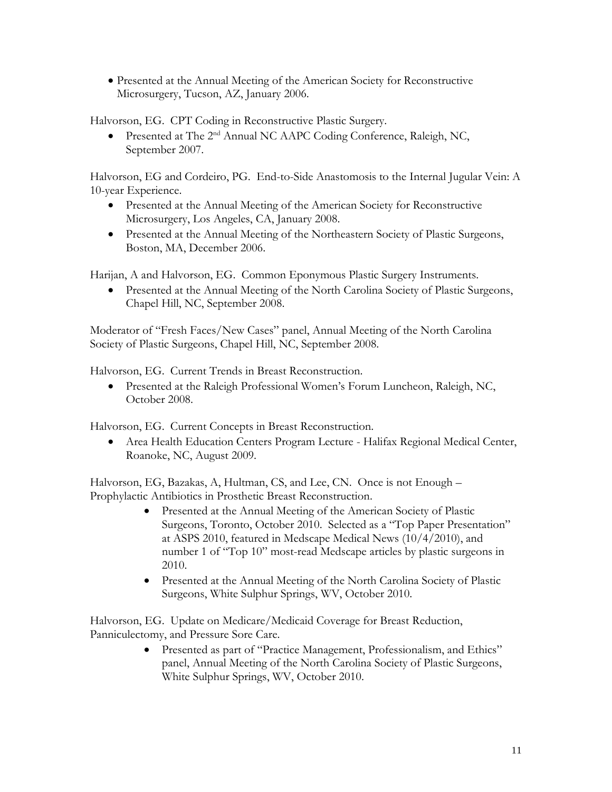• Presented at the Annual Meeting of the American Society for Reconstructive Microsurgery, Tucson, AZ, January 2006.

Halvorson, EG. CPT Coding in Reconstructive Plastic Surgery.

• Presented at The 2<sup>nd</sup> Annual NC AAPC Coding Conference, Raleigh, NC, September 2007.

Halvorson, EG and Cordeiro, PG. End-to-Side Anastomosis to the Internal Jugular Vein: A 10-year Experience.

- Presented at the Annual Meeting of the American Society for Reconstructive Microsurgery, Los Angeles, CA, January 2008.
- Presented at the Annual Meeting of the Northeastern Society of Plastic Surgeons, Boston, MA, December 2006.

Harijan, A and Halvorson, EG. Common Eponymous Plastic Surgery Instruments.

• Presented at the Annual Meeting of the North Carolina Society of Plastic Surgeons, Chapel Hill, NC, September 2008.

Moderator of "Fresh Faces/New Cases" panel, Annual Meeting of the North Carolina Society of Plastic Surgeons, Chapel Hill, NC, September 2008.

Halvorson, EG. Current Trends in Breast Reconstruction.

• Presented at the Raleigh Professional Women's Forum Luncheon, Raleigh, NC, October 2008.

Halvorson, EG. Current Concepts in Breast Reconstruction.

• Area Health Education Centers Program Lecture - Halifax Regional Medical Center, Roanoke, NC, August 2009.

Halvorson, EG, Bazakas, A, Hultman, CS, and Lee, CN. Once is not Enough – Prophylactic Antibiotics in Prosthetic Breast Reconstruction.

- Presented at the Annual Meeting of the American Society of Plastic Surgeons, Toronto, October 2010. Selected as a "Top Paper Presentation" at ASPS 2010, featured in Medscape Medical News (10/4/2010), and number 1 of "Top 10" most-read Medscape articles by plastic surgeons in 2010.
- Presented at the Annual Meeting of the North Carolina Society of Plastic Surgeons, White Sulphur Springs, WV, October 2010.

Halvorson, EG. Update on Medicare/Medicaid Coverage for Breast Reduction, Panniculectomy, and Pressure Sore Care.

> • Presented as part of "Practice Management, Professionalism, and Ethics" panel, Annual Meeting of the North Carolina Society of Plastic Surgeons, White Sulphur Springs, WV, October 2010.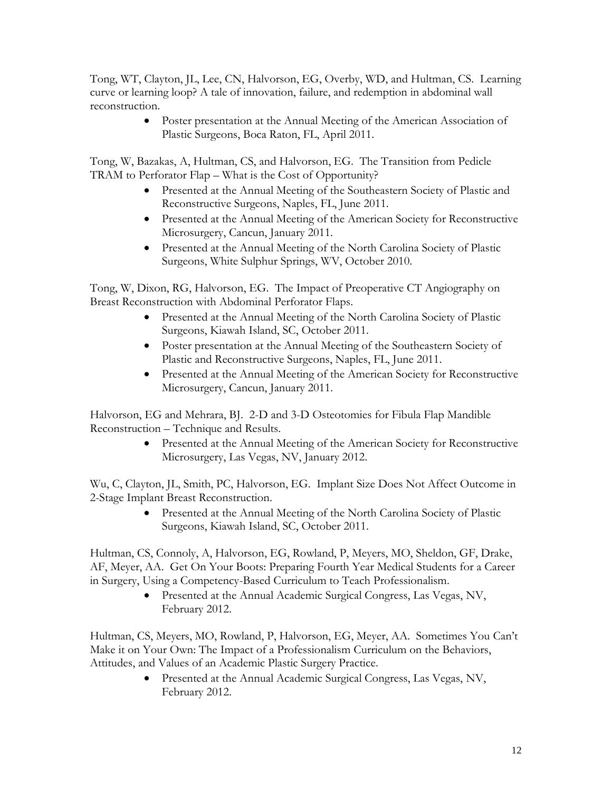Tong, WT, Clayton, JL, Lee, CN, Halvorson, EG, Overby, WD, and Hultman, CS. Learning curve or learning loop? A tale of innovation, failure, and redemption in abdominal wall reconstruction.

> • Poster presentation at the Annual Meeting of the American Association of Plastic Surgeons, Boca Raton, FL, April 2011.

Tong, W, Bazakas, A, Hultman, CS, and Halvorson, EG. The Transition from Pedicle TRAM to Perforator Flap – What is the Cost of Opportunity?

- Presented at the Annual Meeting of the Southeastern Society of Plastic and Reconstructive Surgeons, Naples, FL, June 2011.
- Presented at the Annual Meeting of the American Society for Reconstructive Microsurgery, Cancun, January 2011.
- Presented at the Annual Meeting of the North Carolina Society of Plastic Surgeons, White Sulphur Springs, WV, October 2010.

Tong, W, Dixon, RG, Halvorson, EG. The Impact of Preoperative CT Angiography on Breast Reconstruction with Abdominal Perforator Flaps.

- Presented at the Annual Meeting of the North Carolina Society of Plastic Surgeons, Kiawah Island, SC, October 2011.
- Poster presentation at the Annual Meeting of the Southeastern Society of Plastic and Reconstructive Surgeons, Naples, FL, June 2011.
- Presented at the Annual Meeting of the American Society for Reconstructive Microsurgery, Cancun, January 2011.

Halvorson, EG and Mehrara, BJ. 2-D and 3-D Osteotomies for Fibula Flap Mandible Reconstruction – Technique and Results.

> • Presented at the Annual Meeting of the American Society for Reconstructive Microsurgery, Las Vegas, NV, January 2012.

Wu, C, Clayton, JL, Smith, PC, Halvorson, EG. Implant Size Does Not Affect Outcome in 2-Stage Implant Breast Reconstruction.

> • Presented at the Annual Meeting of the North Carolina Society of Plastic Surgeons, Kiawah Island, SC, October 2011.

Hultman, CS, Connoly, A, Halvorson, EG, Rowland, P, Meyers, MO, Sheldon, GF, Drake, AF, Meyer, AA. Get On Your Boots: Preparing Fourth Year Medical Students for a Career in Surgery, Using a Competency-Based Curriculum to Teach Professionalism.

> • Presented at the Annual Academic Surgical Congress, Las Vegas, NV, February 2012.

Hultman, CS, Meyers, MO, Rowland, P, Halvorson, EG, Meyer, AA. Sometimes You Can't Make it on Your Own: The Impact of a Professionalism Curriculum on the Behaviors, Attitudes, and Values of an Academic Plastic Surgery Practice.

> • Presented at the Annual Academic Surgical Congress, Las Vegas, NV, February 2012.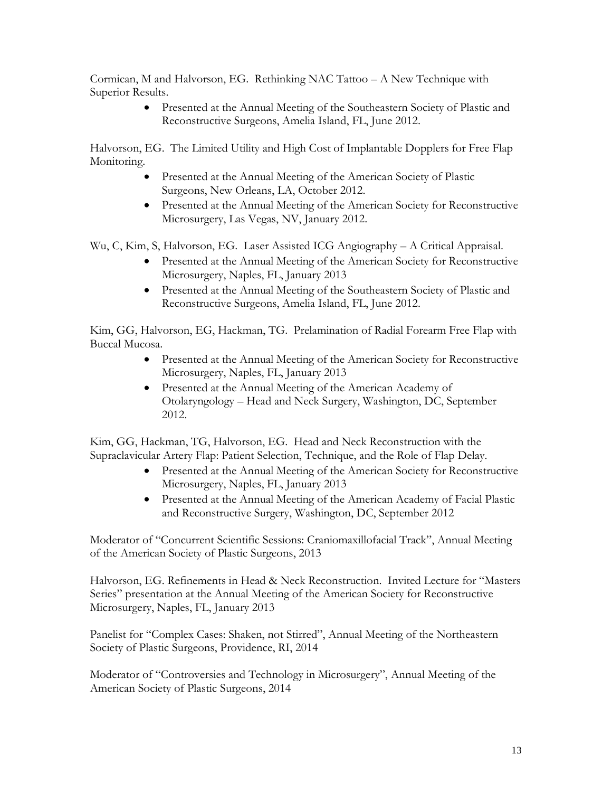Cormican, M and Halvorson, EG. Rethinking NAC Tattoo – A New Technique with Superior Results.

> • Presented at the Annual Meeting of the Southeastern Society of Plastic and Reconstructive Surgeons, Amelia Island, FL, June 2012.

Halvorson, EG. The Limited Utility and High Cost of Implantable Dopplers for Free Flap Monitoring.

- Presented at the Annual Meeting of the American Society of Plastic Surgeons, New Orleans, LA, October 2012.
- Presented at the Annual Meeting of the American Society for Reconstructive Microsurgery, Las Vegas, NV, January 2012.

Wu, C, Kim, S, Halvorson, EG. Laser Assisted ICG Angiography – A Critical Appraisal.

- Presented at the Annual Meeting of the American Society for Reconstructive Microsurgery, Naples, FL, January 2013
- Presented at the Annual Meeting of the Southeastern Society of Plastic and Reconstructive Surgeons, Amelia Island, FL, June 2012.

Kim, GG, Halvorson, EG, Hackman, TG. Prelamination of Radial Forearm Free Flap with Buccal Mucosa.

- Presented at the Annual Meeting of the American Society for Reconstructive Microsurgery, Naples, FL, January 2013
- Presented at the Annual Meeting of the American Academy of Otolaryngology – Head and Neck Surgery, Washington, DC, September 2012.

Kim, GG, Hackman, TG, Halvorson, EG. Head and Neck Reconstruction with the Supraclavicular Artery Flap: Patient Selection, Technique, and the Role of Flap Delay.

- Presented at the Annual Meeting of the American Society for Reconstructive Microsurgery, Naples, FL, January 2013
- Presented at the Annual Meeting of the American Academy of Facial Plastic and Reconstructive Surgery, Washington, DC, September 2012

Moderator of "Concurrent Scientific Sessions: Craniomaxillofacial Track", Annual Meeting of the American Society of Plastic Surgeons, 2013

Halvorson, EG. Refinements in Head & Neck Reconstruction. Invited Lecture for "Masters Series" presentation at the Annual Meeting of the American Society for Reconstructive Microsurgery, Naples, FL, January 2013

Panelist for "Complex Cases: Shaken, not Stirred", Annual Meeting of the Northeastern Society of Plastic Surgeons, Providence, RI, 2014

Moderator of "Controversies and Technology in Microsurgery", Annual Meeting of the American Society of Plastic Surgeons, 2014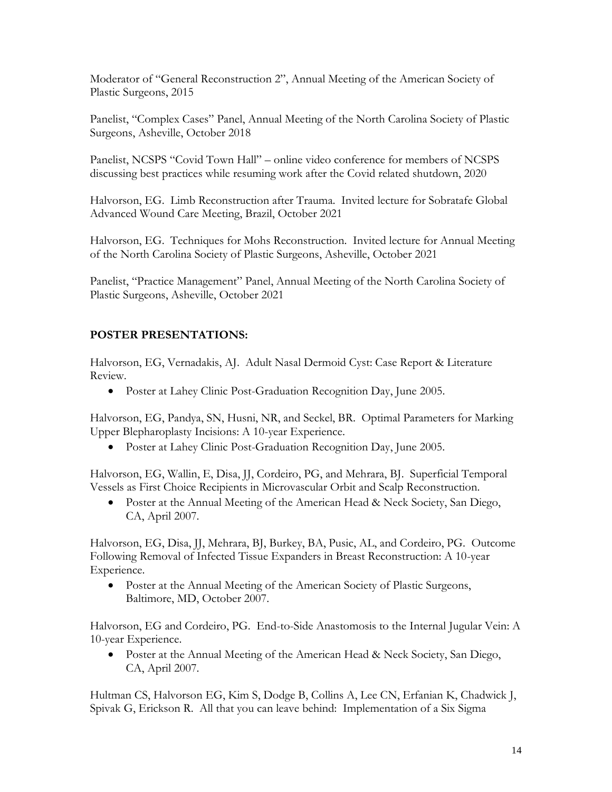Moderator of "General Reconstruction 2", Annual Meeting of the American Society of Plastic Surgeons, 2015

Panelist, "Complex Cases" Panel, Annual Meeting of the North Carolina Society of Plastic Surgeons, Asheville, October 2018

Panelist, NCSPS "Covid Town Hall" – online video conference for members of NCSPS discussing best practices while resuming work after the Covid related shutdown, 2020

Halvorson, EG. Limb Reconstruction after Trauma. Invited lecture for Sobratafe Global Advanced Wound Care Meeting, Brazil, October 2021

Halvorson, EG. Techniques for Mohs Reconstruction. Invited lecture for Annual Meeting of the North Carolina Society of Plastic Surgeons, Asheville, October 2021

Panelist, "Practice Management" Panel, Annual Meeting of the North Carolina Society of Plastic Surgeons, Asheville, October 2021

# **POSTER PRESENTATIONS:**

Halvorson, EG, Vernadakis, AJ. Adult Nasal Dermoid Cyst: Case Report & Literature Review.

• Poster at Lahey Clinic Post-Graduation Recognition Day, June 2005.

Halvorson, EG, Pandya, SN, Husni, NR, and Seckel, BR. Optimal Parameters for Marking Upper Blepharoplasty Incisions: A 10-year Experience.

• Poster at Lahey Clinic Post-Graduation Recognition Day, June 2005.

Halvorson, EG, Wallin, E, Disa, JJ, Cordeiro, PG, and Mehrara, BJ. Superficial Temporal Vessels as First Choice Recipients in Microvascular Orbit and Scalp Reconstruction.

• Poster at the Annual Meeting of the American Head & Neck Society, San Diego, CA, April 2007.

Halvorson, EG, Disa, JJ, Mehrara, BJ, Burkey, BA, Pusic, AL, and Cordeiro, PG. Outcome Following Removal of Infected Tissue Expanders in Breast Reconstruction: A 10-year Experience.

• Poster at the Annual Meeting of the American Society of Plastic Surgeons, Baltimore, MD, October 2007.

Halvorson, EG and Cordeiro, PG. End-to-Side Anastomosis to the Internal Jugular Vein: A 10-year Experience.

• Poster at the Annual Meeting of the American Head & Neck Society, San Diego, CA, April 2007.

Hultman CS, Halvorson EG, Kim S, Dodge B, Collins A, Lee CN, Erfanian K, Chadwick J, Spivak G, Erickson R. All that you can leave behind: Implementation of a Six Sigma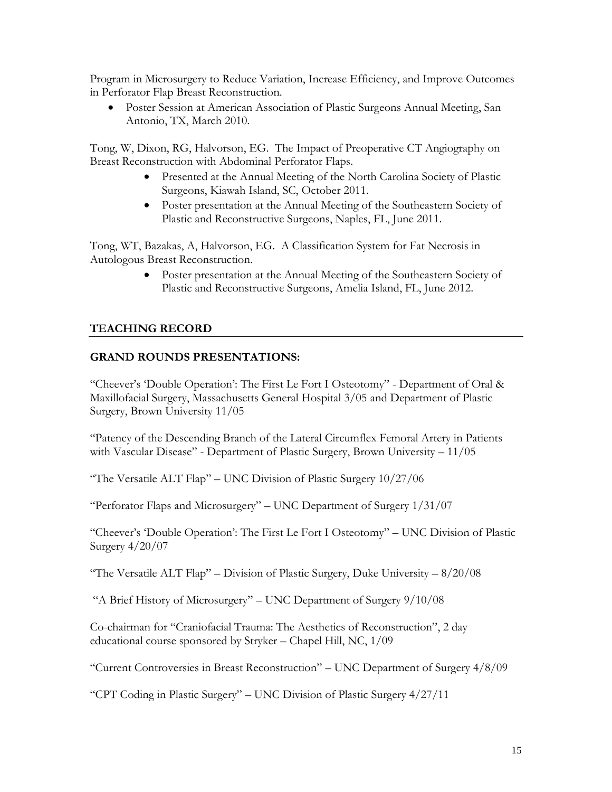Program in Microsurgery to Reduce Variation, Increase Efficiency, and Improve Outcomes in Perforator Flap Breast Reconstruction.

• Poster Session at American Association of Plastic Surgeons Annual Meeting, San Antonio, TX, March 2010.

Tong, W, Dixon, RG, Halvorson, EG. The Impact of Preoperative CT Angiography on Breast Reconstruction with Abdominal Perforator Flaps.

- Presented at the Annual Meeting of the North Carolina Society of Plastic Surgeons, Kiawah Island, SC, October 2011.
- Poster presentation at the Annual Meeting of the Southeastern Society of Plastic and Reconstructive Surgeons, Naples, FL, June 2011.

Tong, WT, Bazakas, A, Halvorson, EG. A Classification System for Fat Necrosis in Autologous Breast Reconstruction.

> • Poster presentation at the Annual Meeting of the Southeastern Society of Plastic and Reconstructive Surgeons, Amelia Island, FL, June 2012.

## **TEACHING RECORD**

## **GRAND ROUNDS PRESENTATIONS:**

"Cheever's 'Double Operation': The First Le Fort I Osteotomy" - Department of Oral & Maxillofacial Surgery, Massachusetts General Hospital 3/05 and Department of Plastic Surgery, Brown University 11/05

"Patency of the Descending Branch of the Lateral Circumflex Femoral Artery in Patients with Vascular Disease" - Department of Plastic Surgery, Brown University – 11/05

"The Versatile ALT Flap" – UNC Division of Plastic Surgery 10/27/06

"Perforator Flaps and Microsurgery" – UNC Department of Surgery 1/31/07

"Cheever's 'Double Operation': The First Le Fort I Osteotomy" – UNC Division of Plastic Surgery 4/20/07

"The Versatile ALT Flap" – Division of Plastic Surgery, Duke University  $-8/20/08$ 

"A Brief History of Microsurgery" – UNC Department of Surgery 9/10/08

Co-chairman for "Craniofacial Trauma: The Aesthetics of Reconstruction", 2 day educational course sponsored by Stryker – Chapel Hill, NC, 1/09

"Current Controversies in Breast Reconstruction" – UNC Department of Surgery 4/8/09

"CPT Coding in Plastic Surgery" – UNC Division of Plastic Surgery 4/27/11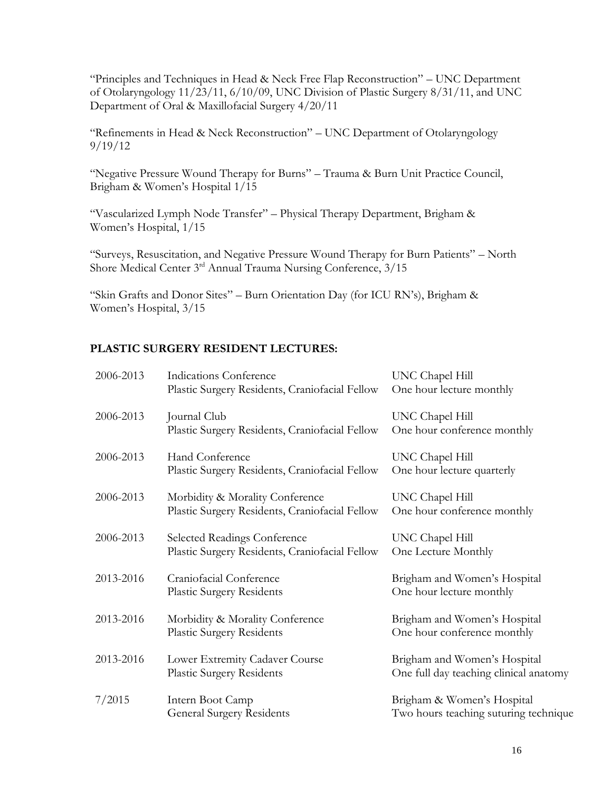"Principles and Techniques in Head & Neck Free Flap Reconstruction" – UNC Department of Otolaryngology 11/23/11, 6/10/09, UNC Division of Plastic Surgery 8/31/11, and UNC Department of Oral & Maxillofacial Surgery 4/20/11

"Refinements in Head & Neck Reconstruction" – UNC Department of Otolaryngology 9/19/12

"Negative Pressure Wound Therapy for Burns" – Trauma & Burn Unit Practice Council, Brigham & Women's Hospital 1/15

"Vascularized Lymph Node Transfer" – Physical Therapy Department, Brigham & Women's Hospital, 1/15

"Surveys, Resuscitation, and Negative Pressure Wound Therapy for Burn Patients" – North Shore Medical Center 3<sup>rd</sup> Annual Trauma Nursing Conference, 3/15

"Skin Grafts and Donor Sites" – Burn Orientation Day (for ICU RN's), Brigham & Women's Hospital, 3/15

# **PLASTIC SURGERY RESIDENT LECTURES:**

| 2006-2013 | Indications Conference<br>Plastic Surgery Residents, Craniofacial Fellow              | UNC Chapel Hill<br>One hour lecture monthly                            |
|-----------|---------------------------------------------------------------------------------------|------------------------------------------------------------------------|
| 2006-2013 | Journal Club<br>Plastic Surgery Residents, Craniofacial Fellow                        | UNC Chapel Hill<br>One hour conference monthly                         |
| 2006-2013 | Hand Conference<br>Plastic Surgery Residents, Craniofacial Fellow                     | UNC Chapel Hill<br>One hour lecture quarterly                          |
| 2006-2013 | Morbidity & Morality Conference<br>Plastic Surgery Residents, Craniofacial Fellow     | UNC Chapel Hill<br>One hour conference monthly                         |
| 2006-2013 | <b>Selected Readings Conference</b><br>Plastic Surgery Residents, Craniofacial Fellow | UNC Chapel Hill<br>One Lecture Monthly                                 |
| 2013-2016 | Craniofacial Conference<br><b>Plastic Surgery Residents</b>                           | Brigham and Women's Hospital<br>One hour lecture monthly               |
| 2013-2016 | Morbidity & Morality Conference<br><b>Plastic Surgery Residents</b>                   | Brigham and Women's Hospital<br>One hour conference monthly            |
| 2013-2016 | Lower Extremity Cadaver Course<br><b>Plastic Surgery Residents</b>                    | Brigham and Women's Hospital<br>One full day teaching clinical anatomy |
| 7/2015    | Intern Boot Camp<br><b>General Surgery Residents</b>                                  | Brigham & Women's Hospital<br>Two hours teaching suturing technique    |